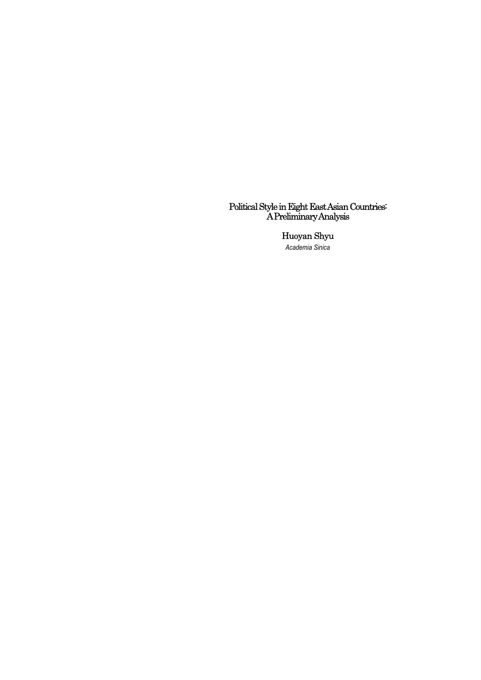#### Political Style in Eight East Asian Countries: A Preliminary Analysis

#### Huoyan Shyu

*Academia Sinica*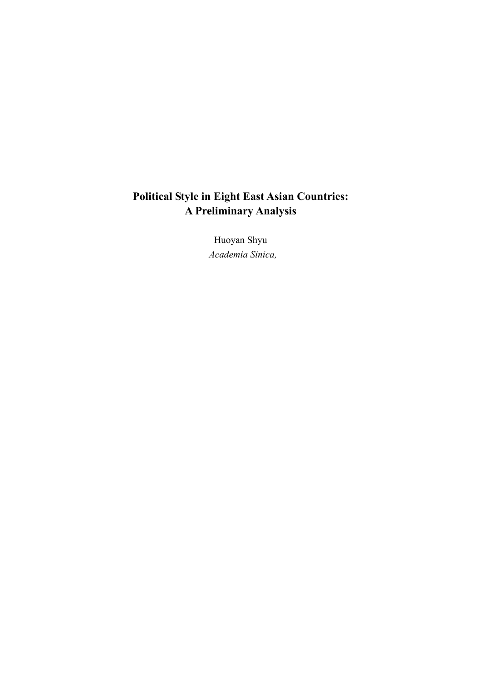# **Political Style in Eight East Asian Countries: A Preliminary Analysis**

Huoyan Shyu  *Academia Sinica,*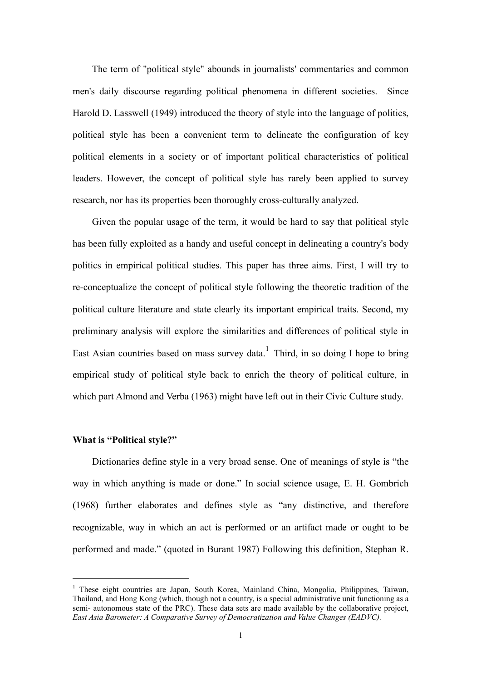The term of "political style" abounds in journalists' commentaries and common men's daily discourse regarding political phenomena in different societies. Since Harold D. Lasswell (1949) introduced the theory of style into the language of politics, political style has been a convenient term to delineate the configuration of key political elements in a society or of important political characteristics of political leaders. However, the concept of political style has rarely been applied to survey research, nor has its properties been thoroughly cross-culturally analyzed.

Given the popular usage of the term, it would be hard to say that political style has been fully exploited as a handy and useful concept in delineating a country's body politics in empirical political studies. This paper has three aims. First, I will try to re-conceptualize the concept of political style following the theoretic tradition of the political culture literature and state clearly its important empirical traits. Second, my preliminary analysis will explore the similarities and differences of political style in East Asian countries based on mass survey data.<sup>1</sup> Third, in so doing I hope to bring empirical study of political style back to enrich the theory of political culture, in which part Almond and Verba (1963) might have left out in their Civic Culture study.

### **What is "Political style?"**

 $\overline{a}$ 

Dictionaries define style in a very broad sense. One of meanings of style is "the way in which anything is made or done." In social science usage, E. H. Gombrich (1968) further elaborates and defines style as "any distinctive, and therefore recognizable, way in which an act is performed or an artifact made or ought to be performed and made." (quoted in Burant 1987) Following this definition, Stephan R.

<sup>&</sup>lt;sup>1</sup> These eight countries are Japan, South Korea, Mainland China, Mongolia, Philippines, Taiwan, Thailand, and Hong Kong (which, though not a country, is a special administrative unit functioning as a semi- autonomous state of the PRC). These data sets are made available by the collaborative project, *East Asia Barometer: A Comparative Survey of Democratization and Value Changes (EADVC).*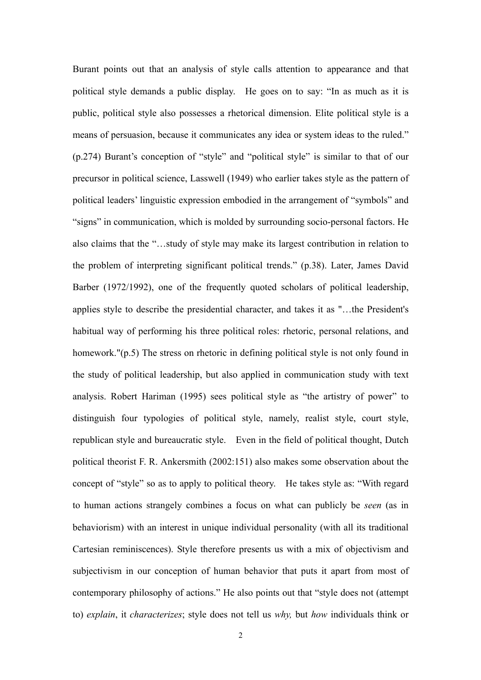Burant points out that an analysis of style calls attention to appearance and that political style demands a public display. He goes on to say: "In as much as it is public, political style also possesses a rhetorical dimension. Elite political style is a means of persuasion, because it communicates any idea or system ideas to the ruled." (p.274) Burant's conception of "style" and "political style" is similar to that of our precursor in political science, Lasswell (1949) who earlier takes style as the pattern of political leaders' linguistic expression embodied in the arrangement of "symbols" and "signs" in communication, which is molded by surrounding socio-personal factors. He also claims that the "…study of style may make its largest contribution in relation to the problem of interpreting significant political trends." (p.38). Later, James David Barber (1972/1992), one of the frequently quoted scholars of political leadership, applies style to describe the presidential character, and takes it as "…the President's habitual way of performing his three political roles: rhetoric, personal relations, and homework."(p.5) The stress on rhetoric in defining political style is not only found in the study of political leadership, but also applied in communication study with text analysis. Robert Hariman (1995) sees political style as "the artistry of power" to distinguish four typologies of political style, namely, realist style, court style, republican style and bureaucratic style. Even in the field of political thought, Dutch political theorist F. R. Ankersmith (2002:151) also makes some observation about the concept of "style" so as to apply to political theory. He takes style as: "With regard to human actions strangely combines a focus on what can publicly be *seen* (as in behaviorism) with an interest in unique individual personality (with all its traditional Cartesian reminiscences). Style therefore presents us with a mix of objectivism and subjectivism in our conception of human behavior that puts it apart from most of contemporary philosophy of actions." He also points out that "style does not (attempt to) *explain*, it *characterizes*; style does not tell us *why,* but *how* individuals think or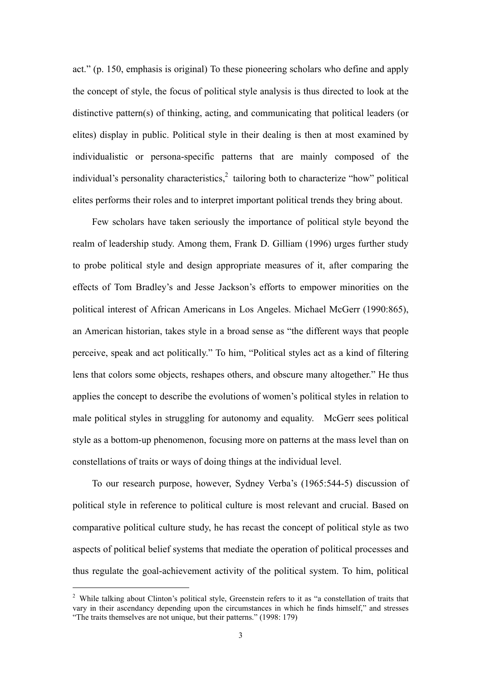act." (p. 150, emphasis is original) To these pioneering scholars who define and apply the concept of style, the focus of political style analysis is thus directed to look at the distinctive pattern(s) of thinking, acting, and communicating that political leaders (or elites) display in public. Political style in their dealing is then at most examined by individualistic or persona-specific patterns that are mainly composed of the individual's personality characteristics,  $2$  tailoring both to characterize "how" political elites performs their roles and to interpret important political trends they bring about.

Few scholars have taken seriously the importance of political style beyond the realm of leadership study. Among them, Frank D. Gilliam (1996) urges further study to probe political style and design appropriate measures of it, after comparing the effects of Tom Bradley's and Jesse Jackson's efforts to empower minorities on the political interest of African Americans in Los Angeles. Michael McGerr (1990:865), an American historian, takes style in a broad sense as "the different ways that people perceive, speak and act politically." To him, "Political styles act as a kind of filtering lens that colors some objects, reshapes others, and obscure many altogether." He thus applies the concept to describe the evolutions of women's political styles in relation to male political styles in struggling for autonomy and equality. McGerr sees political style as a bottom-up phenomenon, focusing more on patterns at the mass level than on constellations of traits or ways of doing things at the individual level.

To our research purpose, however, Sydney Verba's (1965:544-5) discussion of political style in reference to political culture is most relevant and crucial. Based on comparative political culture study, he has recast the concept of political style as two aspects of political belief systems that mediate the operation of political processes and thus regulate the goal-achievement activity of the political system. To him, political

 $\overline{a}$ 

<sup>&</sup>lt;sup>2</sup> While talking about Clinton's political style, Greenstein refers to it as "a constellation of traits that vary in their ascendancy depending upon the circumstances in which he finds himself," and stresses "The traits themselves are not unique, but their patterns." (1998: 179)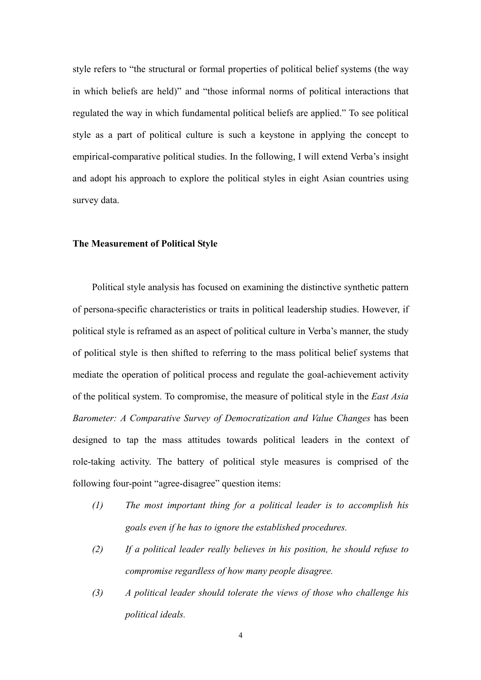style refers to "the structural or formal properties of political belief systems (the way in which beliefs are held)" and "those informal norms of political interactions that regulated the way in which fundamental political beliefs are applied." To see political style as a part of political culture is such a keystone in applying the concept to empirical-comparative political studies. In the following, I will extend Verba's insight and adopt his approach to explore the political styles in eight Asian countries using survey data.

#### **The Measurement of Political Style**

 Political style analysis has focused on examining the distinctive synthetic pattern of persona-specific characteristics or traits in political leadership studies. However, if political style is reframed as an aspect of political culture in Verba's manner, the study of political style is then shifted to referring to the mass political belief systems that mediate the operation of political process and regulate the goal-achievement activity of the political system. To compromise, the measure of political style in the *East Asia Barometer: A Comparative Survey of Democratization and Value Changes* has been designed to tap the mass attitudes towards political leaders in the context of role-taking activity. The battery of political style measures is comprised of the following four-point "agree-disagree" question items:

- *(1) The most important thing for a political leader is to accomplish his goals even if he has to ignore the established procedures.*
- *(2) If a political leader really believes in his position, he should refuse to compromise regardless of how many people disagree.*
- *(3) A political leader should tolerate the views of those who challenge his political ideals.*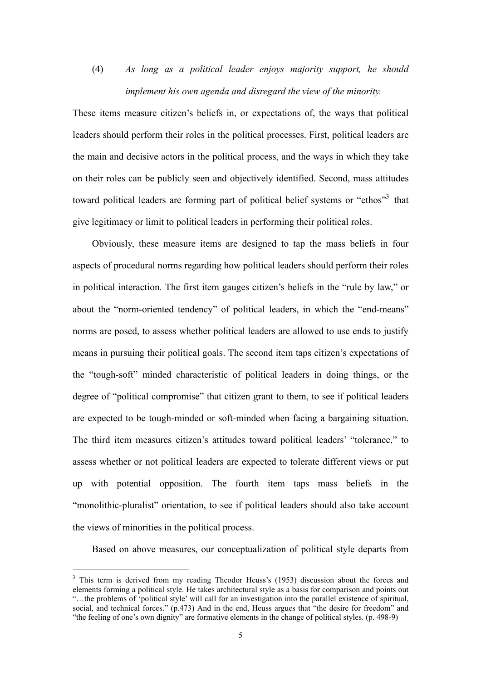(4) *As long as a political leader enjoys majority support, he should implement his own agenda and disregard the view of the minority.*

These items measure citizen's beliefs in, or expectations of, the ways that political leaders should perform their roles in the political processes. First, political leaders are the main and decisive actors in the political process, and the ways in which they take on their roles can be publicly seen and objectively identified. Second, mass attitudes toward political leaders are forming part of political belief systems or "ethos"<sup>3</sup> that give legitimacy or limit to political leaders in performing their political roles.

 Obviously, these measure items are designed to tap the mass beliefs in four aspects of procedural norms regarding how political leaders should perform their roles in political interaction. The first item gauges citizen's beliefs in the "rule by law," or about the "norm-oriented tendency" of political leaders, in which the "end-means" norms are posed, to assess whether political leaders are allowed to use ends to justify means in pursuing their political goals. The second item taps citizen's expectations of the "tough-soft" minded characteristic of political leaders in doing things, or the degree of "political compromise" that citizen grant to them, to see if political leaders are expected to be tough-minded or soft-minded when facing a bargaining situation. The third item measures citizen's attitudes toward political leaders' "tolerance," to assess whether or not political leaders are expected to tolerate different views or put up with potential opposition. The fourth item taps mass beliefs in the "monolithic-pluralist" orientation, to see if political leaders should also take account the views of minorities in the political process.

Based on above measures, our conceptualization of political style departs from

<sup>&</sup>lt;sup>3</sup> This term is derived from my reading Theodor Heuss's (1953) discussion about the forces and elements forming a political style. He takes architectural style as a basis for comparison and points out "…the problems of 'political style' will call for an investigation into the parallel existence of spiritual, social, and technical forces." (p.473) And in the end, Heuss argues that "the desire for freedom" and "the feeling of one's own dignity" are formative elements in the change of political styles. (p. 498-9)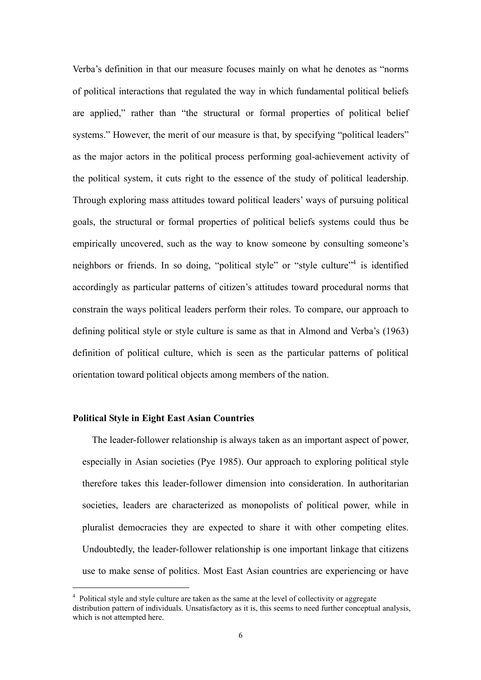Verba's definition in that our measure focuses mainly on what he denotes as "norms of political interactions that regulated the way in which fundamental political beliefs are applied," rather than "the structural or formal properties of political belief systems." However, the merit of our measure is that, by specifying "political leaders" as the major actors in the political process performing goal-achievement activity of the political system, it cuts right to the essence of the study of political leadership. Through exploring mass attitudes toward political leaders' ways of pursuing political goals, the structural or formal properties of political beliefs systems could thus be empirically uncovered, such as the way to know someone by consulting someone's neighbors or friends. In so doing, "political style" or "style culture"<sup>4</sup> is identified accordingly as particular patterns of citizen's attitudes toward procedural norms that constrain the ways political leaders perform their roles. To compare, our approach to defining political style or style culture is same as that in Almond and Verba's (1963) definition of political culture, which is seen as the particular patterns of political orientation toward political objects among members of the nation.

### **Political Style in Eight East Asian Countries**

 $\overline{a}$ 

The leader-follower relationship is always taken as an important aspect of power, especially in Asian societies (Pye 1985). Our approach to exploring political style therefore takes this leader-follower dimension into consideration. In authoritarian societies, leaders are characterized as monopolists of political power, while in pluralist democracies they are expected to share it with other competing elites. Undoubtedly, the leader-follower relationship is one important linkage that citizens use to make sense of politics. Most East Asian countries are experiencing or have

<sup>&</sup>lt;sup>4</sup> Political style and style culture are taken as the same at the level of collectivity or aggregate distribution pattern of individuals. Unsatisfactory as it is, this seems to need further conceptual analysis, which is not attempted here.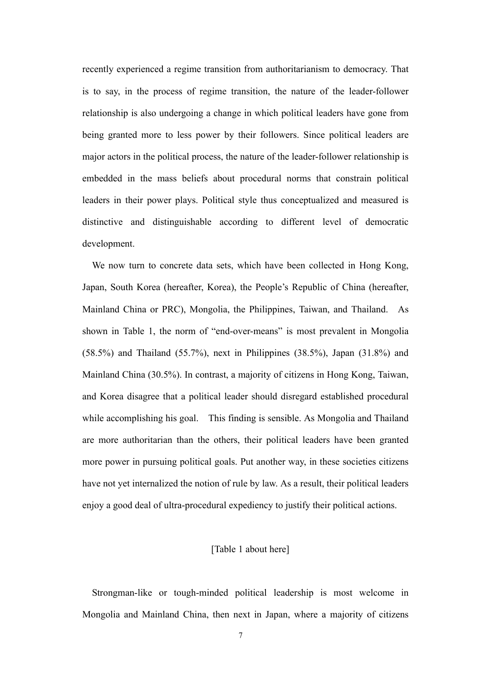recently experienced a regime transition from authoritarianism to democracy. That is to say, in the process of regime transition, the nature of the leader-follower relationship is also undergoing a change in which political leaders have gone from being granted more to less power by their followers. Since political leaders are major actors in the political process, the nature of the leader-follower relationship is embedded in the mass beliefs about procedural norms that constrain political leaders in their power plays. Political style thus conceptualized and measured is distinctive and distinguishable according to different level of democratic development.

We now turn to concrete data sets, which have been collected in Hong Kong, Japan, South Korea (hereafter, Korea), the People's Republic of China (hereafter, Mainland China or PRC), Mongolia, the Philippines, Taiwan, and Thailand. As shown in Table 1, the norm of "end-over-means" is most prevalent in Mongolia (58.5%) and Thailand (55.7%), next in Philippines (38.5%), Japan (31.8%) and Mainland China (30.5%). In contrast, a majority of citizens in Hong Kong, Taiwan, and Korea disagree that a political leader should disregard established procedural while accomplishing his goal. This finding is sensible. As Mongolia and Thailand are more authoritarian than the others, their political leaders have been granted more power in pursuing political goals. Put another way, in these societies citizens have not yet internalized the notion of rule by law. As a result, their political leaders enjoy a good deal of ultra-procedural expediency to justify their political actions.

## [Table 1 about here]

Strongman-like or tough-minded political leadership is most welcome in Mongolia and Mainland China, then next in Japan, where a majority of citizens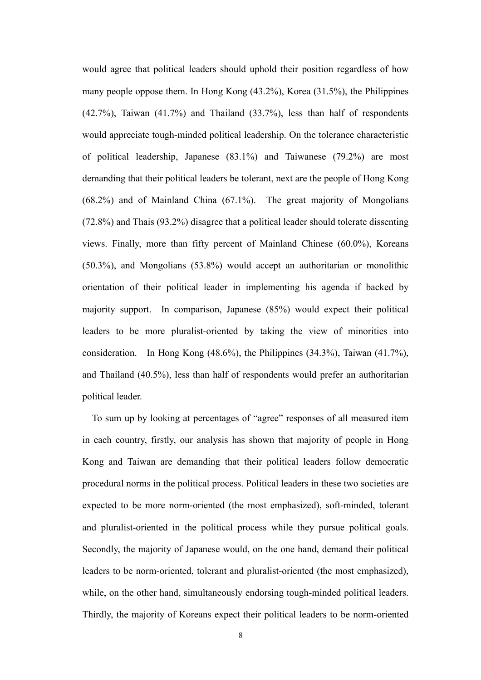would agree that political leaders should uphold their position regardless of how many people oppose them. In Hong Kong (43.2%), Korea (31.5%), the Philippines (42.7%), Taiwan (41.7%) and Thailand (33.7%), less than half of respondents would appreciate tough-minded political leadership. On the tolerance characteristic of political leadership, Japanese (83.1%) and Taiwanese (79.2%) are most demanding that their political leaders be tolerant, next are the people of Hong Kong (68.2%) and of Mainland China (67.1%). The great majority of Mongolians (72.8%) and Thais (93.2%) disagree that a political leader should tolerate dissenting views. Finally, more than fifty percent of Mainland Chinese (60.0%), Koreans (50.3%), and Mongolians (53.8%) would accept an authoritarian or monolithic orientation of their political leader in implementing his agenda if backed by majority support. In comparison, Japanese (85%) would expect their political leaders to be more pluralist-oriented by taking the view of minorities into consideration. In Hong Kong (48.6%), the Philippines (34.3%), Taiwan (41.7%), and Thailand (40.5%), less than half of respondents would prefer an authoritarian political leader.

To sum up by looking at percentages of "agree" responses of all measured item in each country, firstly, our analysis has shown that majority of people in Hong Kong and Taiwan are demanding that their political leaders follow democratic procedural norms in the political process. Political leaders in these two societies are expected to be more norm-oriented (the most emphasized), soft-minded, tolerant and pluralist-oriented in the political process while they pursue political goals. Secondly, the majority of Japanese would, on the one hand, demand their political leaders to be norm-oriented, tolerant and pluralist-oriented (the most emphasized), while, on the other hand, simultaneously endorsing tough-minded political leaders. Thirdly, the majority of Koreans expect their political leaders to be norm-oriented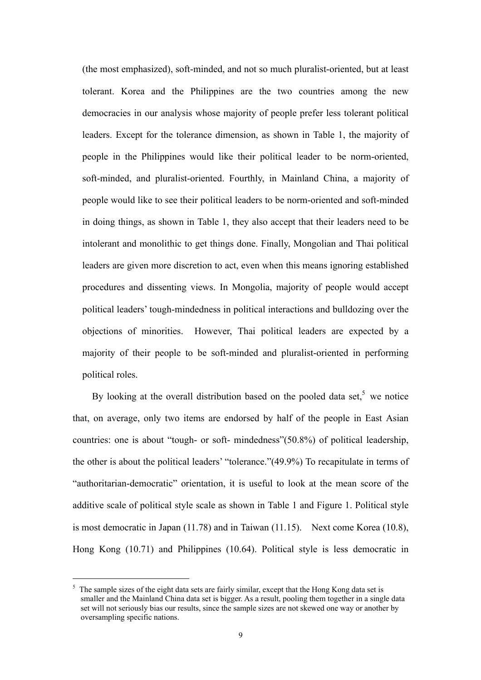(the most emphasized), soft-minded, and not so much pluralist-oriented, but at least tolerant. Korea and the Philippines are the two countries among the new democracies in our analysis whose majority of people prefer less tolerant political leaders. Except for the tolerance dimension, as shown in Table 1, the majority of people in the Philippines would like their political leader to be norm-oriented, soft-minded, and pluralist-oriented. Fourthly, in Mainland China, a majority of people would like to see their political leaders to be norm-oriented and soft-minded in doing things, as shown in Table 1, they also accept that their leaders need to be intolerant and monolithic to get things done. Finally, Mongolian and Thai political leaders are given more discretion to act, even when this means ignoring established procedures and dissenting views. In Mongolia, majority of people would accept political leaders' tough-mindedness in political interactions and bulldozing over the objections of minorities. However, Thai political leaders are expected by a majority of their people to be soft-minded and pluralist-oriented in performing political roles.

By looking at the overall distribution based on the pooled data set,<sup>5</sup> we notice that, on average, only two items are endorsed by half of the people in East Asian countries: one is about "tough- or soft- mindedness"(50.8%) of political leadership, the other is about the political leaders' "tolerance."(49.9%) To recapitulate in terms of "authoritarian-democratic" orientation, it is useful to look at the mean score of the additive scale of political style scale as shown in Table 1 and Figure 1. Political style is most democratic in Japan (11.78) and in Taiwan (11.15). Next come Korea (10.8), Hong Kong (10.71) and Philippines (10.64). Political style is less democratic in

 $\overline{a}$ 

<sup>5</sup> The sample sizes of the eight data sets are fairly similar, except that the Hong Kong data set is smaller and the Mainland China data set is bigger. As a result, pooling them together in a single data set will not seriously bias our results, since the sample sizes are not skewed one way or another by oversampling specific nations.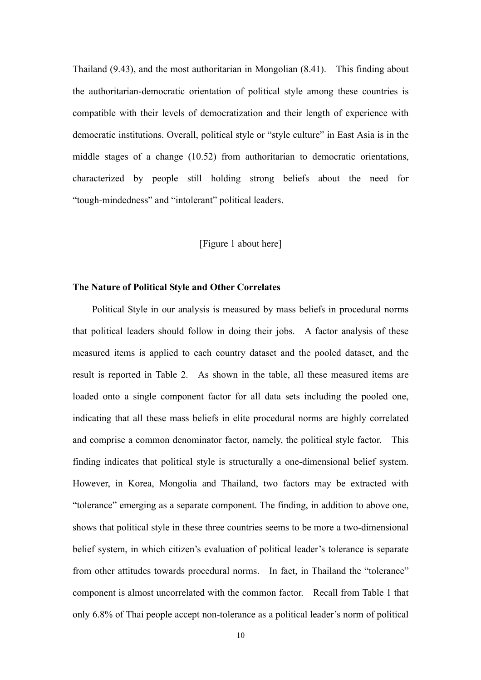Thailand (9.43), and the most authoritarian in Mongolian (8.41). This finding about the authoritarian-democratic orientation of political style among these countries is compatible with their levels of democratization and their length of experience with democratic institutions. Overall, political style or "style culture" in East Asia is in the middle stages of a change (10.52) from authoritarian to democratic orientations, characterized by people still holding strong beliefs about the need for "tough-mindedness" and "intolerant" political leaders.

#### [Figure 1 about here]

#### **The Nature of Political Style and Other Correlates**

 Political Style in our analysis is measured by mass beliefs in procedural norms that political leaders should follow in doing their jobs. A factor analysis of these measured items is applied to each country dataset and the pooled dataset, and the result is reported in Table 2. As shown in the table, all these measured items are loaded onto a single component factor for all data sets including the pooled one, indicating that all these mass beliefs in elite procedural norms are highly correlated and comprise a common denominator factor, namely, the political style factor. This finding indicates that political style is structurally a one-dimensional belief system. However, in Korea, Mongolia and Thailand, two factors may be extracted with "tolerance" emerging as a separate component. The finding, in addition to above one, shows that political style in these three countries seems to be more a two-dimensional belief system, in which citizen's evaluation of political leader's tolerance is separate from other attitudes towards procedural norms. In fact, in Thailand the "tolerance" component is almost uncorrelated with the common factor. Recall from Table 1 that only 6.8% of Thai people accept non-tolerance as a political leader's norm of political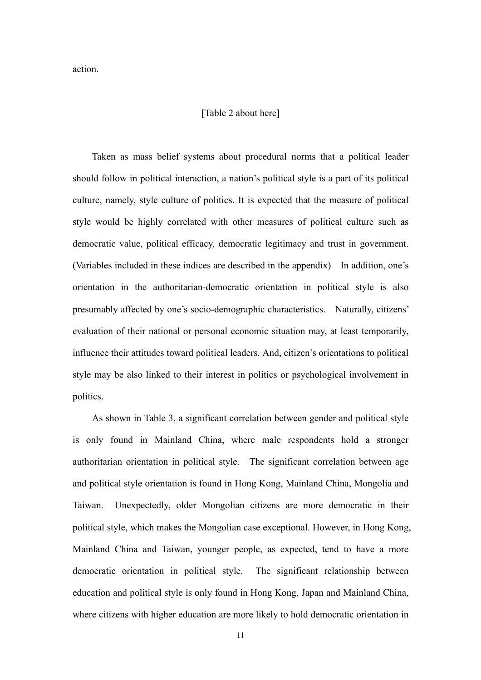action.

#### [Table 2 about here]

 Taken as mass belief systems about procedural norms that a political leader should follow in political interaction, a nation's political style is a part of its political culture, namely, style culture of politics. It is expected that the measure of political style would be highly correlated with other measures of political culture such as democratic value, political efficacy, democratic legitimacy and trust in government. (Variables included in these indices are described in the appendix) In addition, one's orientation in the authoritarian-democratic orientation in political style is also presumably affected by one's socio-demographic characteristics. Naturally, citizens' evaluation of their national or personal economic situation may, at least temporarily, influence their attitudes toward political leaders. And, citizen's orientations to political style may be also linked to their interest in politics or psychological involvement in politics.

 As shown in Table 3, a significant correlation between gender and political style is only found in Mainland China, where male respondents hold a stronger authoritarian orientation in political style. The significant correlation between age and political style orientation is found in Hong Kong, Mainland China, Mongolia and Taiwan. Unexpectedly, older Mongolian citizens are more democratic in their political style, which makes the Mongolian case exceptional. However, in Hong Kong, Mainland China and Taiwan, younger people, as expected, tend to have a more democratic orientation in political style. The significant relationship between education and political style is only found in Hong Kong, Japan and Mainland China, where citizens with higher education are more likely to hold democratic orientation in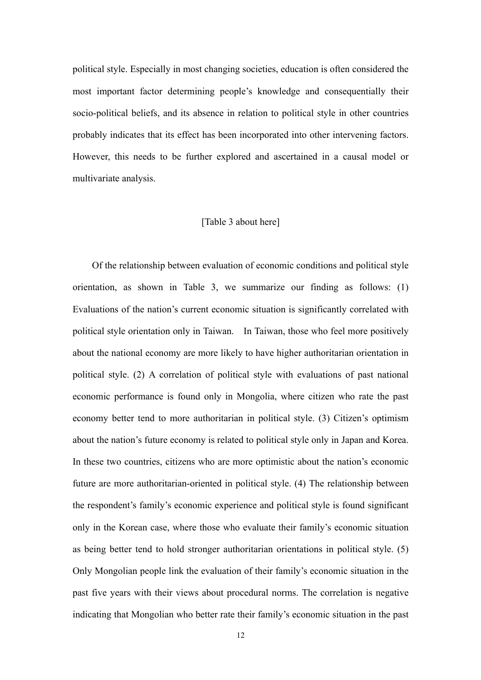political style. Especially in most changing societies, education is often considered the most important factor determining people's knowledge and consequentially their socio-political beliefs, and its absence in relation to political style in other countries probably indicates that its effect has been incorporated into other intervening factors. However, this needs to be further explored and ascertained in a causal model or multivariate analysis.

### [Table 3 about here]

 Of the relationship between evaluation of economic conditions and political style orientation, as shown in Table 3, we summarize our finding as follows: (1) Evaluations of the nation's current economic situation is significantly correlated with political style orientation only in Taiwan. In Taiwan, those who feel more positively about the national economy are more likely to have higher authoritarian orientation in political style. (2) A correlation of political style with evaluations of past national economic performance is found only in Mongolia, where citizen who rate the past economy better tend to more authoritarian in political style. (3) Citizen's optimism about the nation's future economy is related to political style only in Japan and Korea. In these two countries, citizens who are more optimistic about the nation's economic future are more authoritarian-oriented in political style. (4) The relationship between the respondent's family's economic experience and political style is found significant only in the Korean case, where those who evaluate their family's economic situation as being better tend to hold stronger authoritarian orientations in political style. (5) Only Mongolian people link the evaluation of their family's economic situation in the past five years with their views about procedural norms. The correlation is negative indicating that Mongolian who better rate their family's economic situation in the past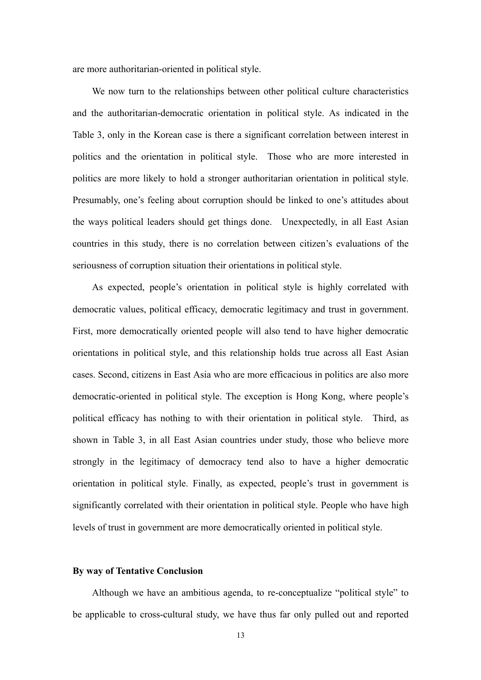are more authoritarian-oriented in political style.

We now turn to the relationships between other political culture characteristics and the authoritarian-democratic orientation in political style. As indicated in the Table 3, only in the Korean case is there a significant correlation between interest in politics and the orientation in political style. Those who are more interested in politics are more likely to hold a stronger authoritarian orientation in political style. Presumably, one's feeling about corruption should be linked to one's attitudes about the ways political leaders should get things done. Unexpectedly, in all East Asian countries in this study, there is no correlation between citizen's evaluations of the seriousness of corruption situation their orientations in political style.

As expected, people's orientation in political style is highly correlated with democratic values, political efficacy, democratic legitimacy and trust in government. First, more democratically oriented people will also tend to have higher democratic orientations in political style, and this relationship holds true across all East Asian cases. Second, citizens in East Asia who are more efficacious in politics are also more democratic-oriented in political style. The exception is Hong Kong, where people's political efficacy has nothing to with their orientation in political style. Third, as shown in Table 3, in all East Asian countries under study, those who believe more strongly in the legitimacy of democracy tend also to have a higher democratic orientation in political style. Finally, as expected, people's trust in government is significantly correlated with their orientation in political style. People who have high levels of trust in government are more democratically oriented in political style.

#### **By way of Tentative Conclusion**

Although we have an ambitious agenda, to re-conceptualize "political style" to be applicable to cross-cultural study, we have thus far only pulled out and reported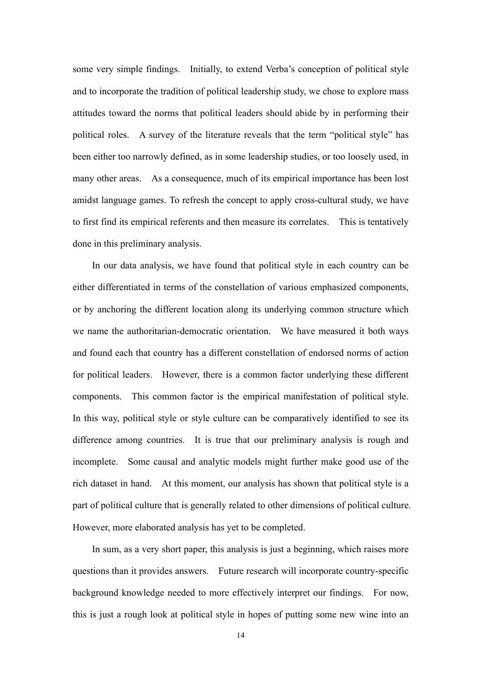some very simple findings. Initially, to extend Verba's conception of political style and to incorporate the tradition of political leadership study, we chose to explore mass attitudes toward the norms that political leaders should abide by in performing their political roles. A survey of the literature reveals that the term "political style" has been either too narrowly defined, as in some leadership studies, or too loosely used, in many other areas. As a consequence, much of its empirical importance has been lost amidst language games. To refresh the concept to apply cross-cultural study, we have to first find its empirical referents and then measure its correlates. This is tentatively done in this preliminary analysis.

In our data analysis, we have found that political style in each country can be either differentiated in terms of the constellation of various emphasized components, or by anchoring the different location along its underlying common structure which we name the authoritarian-democratic orientation. We have measured it both ways and found each that country has a different constellation of endorsed norms of action for political leaders. However, there is a common factor underlying these different components. This common factor is the empirical manifestation of political style. In this way, political style or style culture can be comparatively identified to see its difference among countries. It is true that our preliminary analysis is rough and incomplete. Some causal and analytic models might further make good use of the rich dataset in hand. At this moment, our analysis has shown that political style is a part of political culture that is generally related to other dimensions of political culture. However, more elaborated analysis has yet to be completed.

In sum, as a very short paper, this analysis is just a beginning, which raises more questions than it provides answers. Future research will incorporate country-specific background knowledge needed to more effectively interpret our findings. For now, this is just a rough look at political style in hopes of putting some new wine into an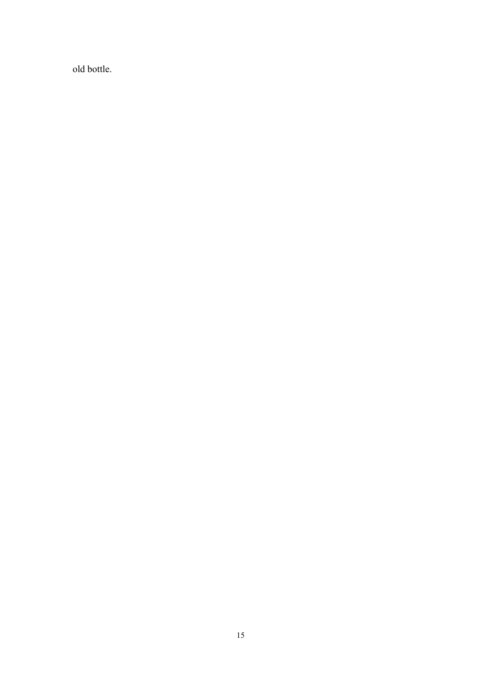old bottle.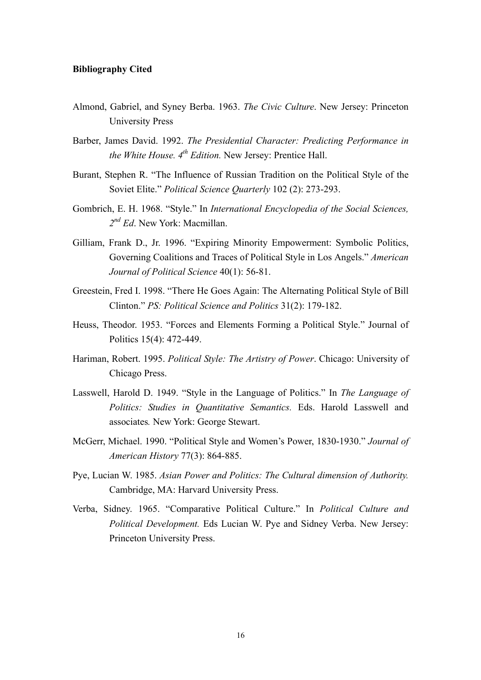#### **Bibliography Cited**

- Almond, Gabriel, and Syney Berba. 1963. *The Civic Culture*. New Jersey: Princeton University Press
- Barber, James David. 1992. *The Presidential Character: Predicting Performance in the White House. 4th Edition.* New Jersey: Prentice Hall.
- Burant, Stephen R. "The Influence of Russian Tradition on the Political Style of the Soviet Elite." *Political Science Quarterly* 102 (2): 273-293.
- Gombrich, E. H. 1968. "Style." In *International Encyclopedia of the Social Sciences, 2nd Ed*. New York: Macmillan.
- Gilliam, Frank D., Jr. 1996. "Expiring Minority Empowerment: Symbolic Politics, Governing Coalitions and Traces of Political Style in Los Angels." *American Journal of Political Science* 40(1): 56-81.
- Greestein, Fred I. 1998. "There He Goes Again: The Alternating Political Style of Bill Clinton." *PS: Political Science and Politics* 31(2): 179-182.
- Heuss, Theodor. 1953. "Forces and Elements Forming a Political Style." Journal of Politics 15(4): 472-449.
- Hariman, Robert. 1995. *Political Style: The Artistry of Power*. Chicago: University of Chicago Press.
- Lasswell, Harold D. 1949. "Style in the Language of Politics." In *The Language of Politics: Studies in Quantitative Semantics.* Eds. Harold Lasswell and associates*.* New York: George Stewart.
- McGerr, Michael. 1990. "Political Style and Women's Power, 1830-1930." *Journal of American History* 77(3): 864-885.
- Pye, Lucian W. 1985. *Asian Power and Politics: The Cultural dimension of Authority.* Cambridge, MA: Harvard University Press.
- Verba, Sidney. 1965. "Comparative Political Culture." In *Political Culture and Political Development.* Eds Lucian W. Pye and Sidney Verba. New Jersey: Princeton University Press.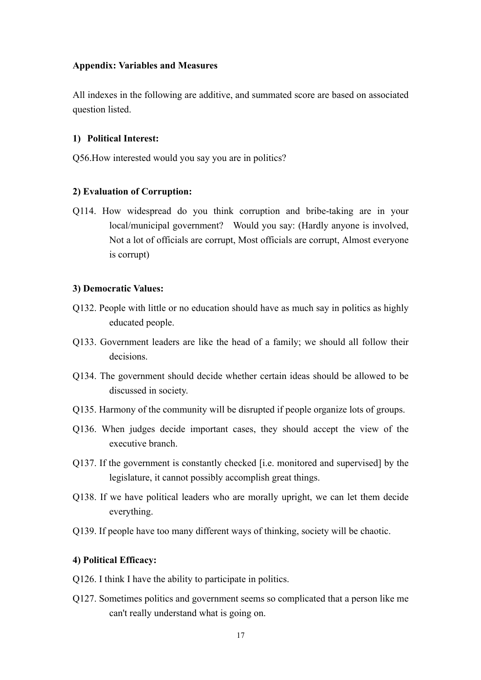## **Appendix: Variables and Measures**

All indexes in the following are additive, and summated score are based on associated question listed.

## **1) Political Interest:**

Q56.How interested would you say you are in politics?

## **2) Evaluation of Corruption:**

Q114. How widespread do you think corruption and bribe-taking are in your local/municipal government? Would you say: (Hardly anyone is involved, Not a lot of officials are corrupt, Most officials are corrupt, Almost everyone is corrupt)

## **3) Democratic Values:**

- Q132. People with little or no education should have as much say in politics as highly educated people.
- Q133. Government leaders are like the head of a family; we should all follow their decisions.
- Q134. The government should decide whether certain ideas should be allowed to be discussed in society.
- Q135. Harmony of the community will be disrupted if people organize lots of groups.
- Q136. When judges decide important cases, they should accept the view of the executive branch.
- Q137. If the government is constantly checked [i.e. monitored and supervised] by the legislature, it cannot possibly accomplish great things.
- Q138. If we have political leaders who are morally upright, we can let them decide everything.
- Q139. If people have too many different ways of thinking, society will be chaotic.

## **4) Political Efficacy:**

- Q126. I think I have the ability to participate in politics.
- Q127. Sometimes politics and government seems so complicated that a person like me can't really understand what is going on.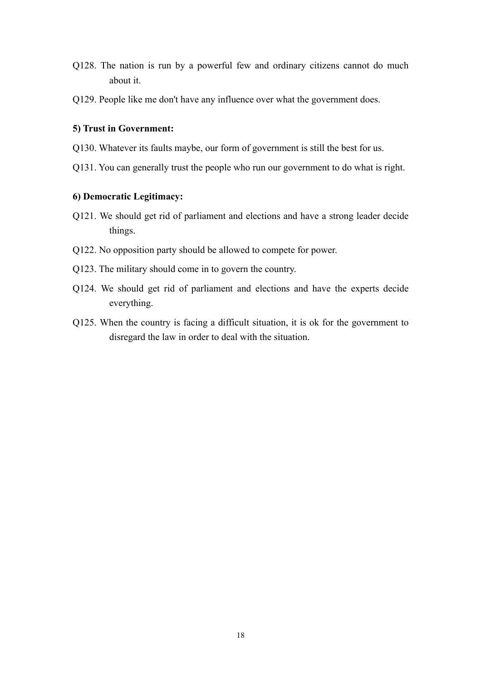- Q128. The nation is run by a powerful few and ordinary citizens cannot do much about it.
- Q129. People like me don't have any influence over what the government does.

## **5) Trust in Government:**

- Q130. Whatever its faults maybe, our form of government is still the best for us.
- Q131. You can generally trust the people who run our government to do what is right.

## **6) Democratic Legitimacy:**

- Q121. We should get rid of parliament and elections and have a strong leader decide things.
- Q122. No opposition party should be allowed to compete for power.
- Q123. The military should come in to govern the country.
- Q124. We should get rid of parliament and elections and have the experts decide everything.
- Q125. When the country is facing a difficult situation, it is ok for the government to disregard the law in order to deal with the situation.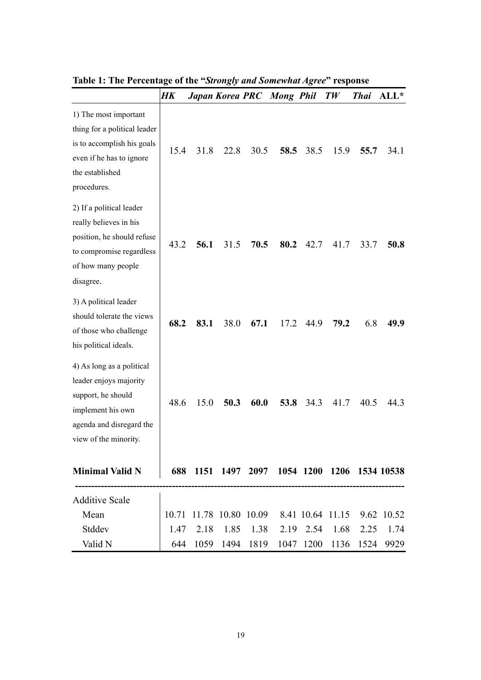|                                                                                                                                                     | HK   |      |      |      | Japan Korea PRC Mong Phil                                                                                            |      | TW   | <b>Thai</b> | $ALL*$ |
|-----------------------------------------------------------------------------------------------------------------------------------------------------|------|------|------|------|----------------------------------------------------------------------------------------------------------------------|------|------|-------------|--------|
| 1) The most important<br>thing for a political leader<br>is to accomplish his goals<br>even if he has to ignore<br>the established<br>procedures.   | 15.4 | 31.8 | 22.8 | 30.5 | 58.5                                                                                                                 | 38.5 | 15.9 | 55.7        | 34.1   |
| 2) If a political leader<br>really believes in his<br>position, he should refuse<br>to compromise regardless<br>of how many people<br>disagree.     | 43.2 | 56.1 | 31.5 | 70.5 | 80.2                                                                                                                 | 42.7 | 41.7 | 33.7        | 50.8   |
| 3) A political leader<br>should tolerate the views<br>of those who challenge<br>his political ideals.                                               | 68.2 | 83.1 | 38.0 | 67.1 | 17.2                                                                                                                 | 44.9 | 79.2 | 6.8         | 49.9   |
| 4) As long as a political<br>leader enjoys majority<br>support, he should<br>implement his own<br>agenda and disregard the<br>view of the minority. | 48.6 | 15.0 | 50.3 | 60.0 | 53.8                                                                                                                 | 34.3 | 41.7 | 40.5        | 443    |
| <b>Minimal Valid N</b>                                                                                                                              | 688  |      |      |      | 1151 1497 2097 1054 1200 1206 1534 10538                                                                             |      |      |             |        |
| <b>Additive Scale</b><br>Mean<br>Stddev<br>Valid N                                                                                                  | 1.47 | 2.18 | 1.85 |      | 10.71 11.78 10.80 10.09 8.41 10.64 11.15 9.62 10.52<br>1.38 2.19 2.54<br>644 1059 1494 1819 1047 1200 1136 1524 9929 |      | 1.68 | 2.25        | 1.74   |

**Table 1: The Percentage of the "***Strongly and Somewhat Agree***" response**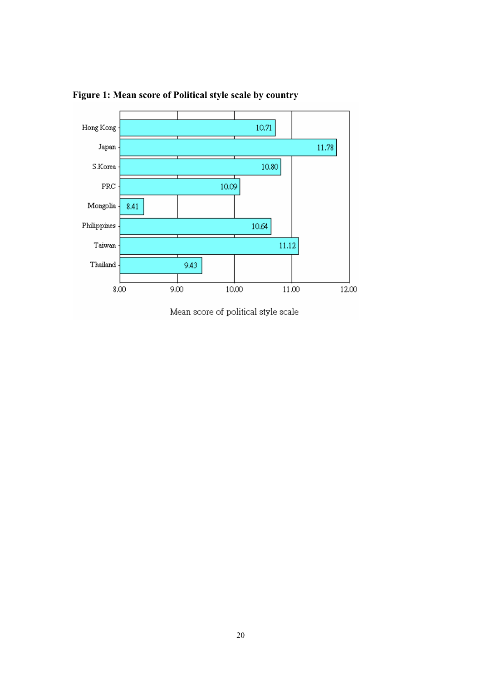

**Figure 1: Mean score of Political style scale by country**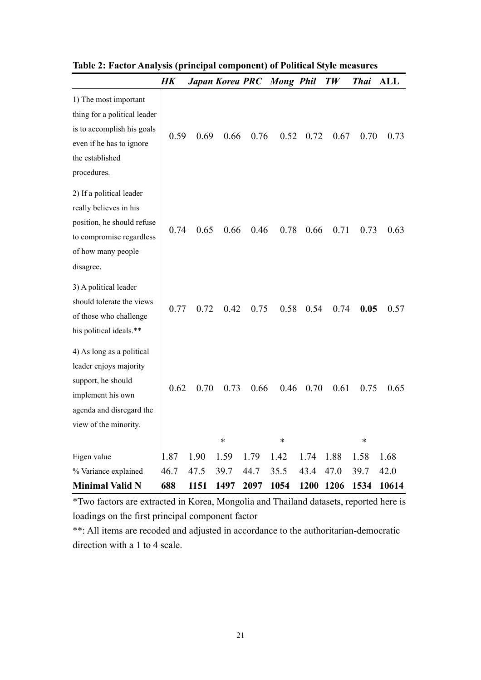|                                                                                                                                                     | HK   |      | Japan Korea PRC |      | <b>Mong</b> Phil |      | TW   | <b>Thai</b>    | ALL   |
|-----------------------------------------------------------------------------------------------------------------------------------------------------|------|------|-----------------|------|------------------|------|------|----------------|-------|
| 1) The most important<br>thing for a political leader<br>is to accomplish his goals<br>even if he has to ignore<br>the established<br>procedures.   | 0.59 | 0.69 | 0.66            | 0.76 | 0.52             | 0.72 | 0.67 | 0.70           | 0.73  |
| 2) If a political leader<br>really believes in his<br>position, he should refuse<br>to compromise regardless<br>of how many people<br>disagree.     | 0.74 | 0.65 | 0.66            | 0.46 | 0.78             | 0.66 | 0.71 | 0.73           | 0.63  |
| 3) A political leader<br>should tolerate the views<br>of those who challenge<br>his political ideals.**                                             | 0.77 | 0.72 | 0.42            | 0.75 | 0.58             | 0.54 | 0.74 | 0.05           | 0.57  |
| 4) As long as a political<br>leader enjoys majority<br>support, he should<br>implement his own<br>agenda and disregard the<br>view of the minority. | 0.62 | 0.70 | 0.73<br>$\ast$  | 0.66 | 0.46<br>$\ast$   | 0.70 | 0.61 | 0.75<br>$\ast$ | 0.65  |
| Eigen value                                                                                                                                         | 1.87 | 1.90 | 1.59            | 1.79 | 1.42             | 1.74 | 1.88 | 1.58           | 1.68  |
| % Variance explained                                                                                                                                | 46.7 | 47.5 | 39.7            | 44.7 | 35.5             | 43.4 | 47.0 | 39.7           | 42.0  |
| <b>Minimal Valid N</b>                                                                                                                              | 688  | 1151 | 1497            | 2097 | 1054             | 1200 | 1206 | 1534           | 10614 |

**Table 2: Factor Analysis (principal component) of Political Style measures** 

\*Two factors are extracted in Korea, Mongolia and Thailand datasets, reported here is loadings on the first principal component factor

\*\*: All items are recoded and adjusted in accordance to the authoritarian-democratic direction with a 1 to 4 scale.